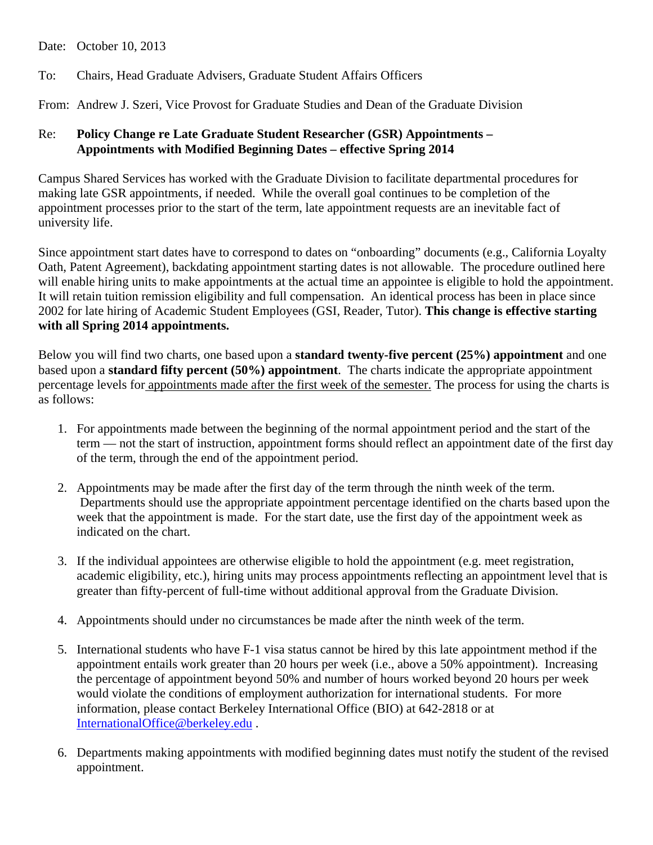Date: October 10, 2013

To: Chairs, Head Graduate Advisers, Graduate Student Affairs Officers

From: Andrew J. Szeri, Vice Provost for Graduate Studies and Dean of the Graduate Division

## Re: **Policy Change re Late Graduate Student Researcher (GSR) Appointments – Appointments with Modified Beginning Dates – effective Spring 2014**

Campus Shared Services has worked with the Graduate Division to facilitate departmental procedures for making late GSR appointments, if needed. While the overall goal continues to be completion of the appointment processes prior to the start of the term, late appointment requests are an inevitable fact of university life.

Since appointment start dates have to correspond to dates on "onboarding" documents (e.g., California Loyalty Oath, Patent Agreement), backdating appointment starting dates is not allowable. The procedure outlined here will enable hiring units to make appointments at the actual time an appointee is eligible to hold the appointment. It will retain tuition remission eligibility and full compensation. An identical process has been in place since 2002 for late hiring of Academic Student Employees (GSI, Reader, Tutor). **This change is effective starting with all Spring 2014 appointments.**

Below you will find two charts, one based upon a **standard twenty-five percent (25%) appointment** and one based upon a **standard fifty percent (50%) appointment**. The charts indicate the appropriate appointment percentage levels for appointments made after the first week of the semester. The process for using the charts is as follows:

- 1. For appointments made between the beginning of the normal appointment period and the start of the term — not the start of instruction, appointment forms should reflect an appointment date of the first day of the term, through the end of the appointment period.
- 2. Appointments may be made after the first day of the term through the ninth week of the term. Departments should use the appropriate appointment percentage identified on the charts based upon the week that the appointment is made. For the start date, use the first day of the appointment week as indicated on the chart.
- 3. If the individual appointees are otherwise eligible to hold the appointment (e.g. meet registration, academic eligibility, etc.), hiring units may process appointments reflecting an appointment level that is greater than fifty-percent of full-time without additional approval from the Graduate Division.
- 4. Appointments should under no circumstances be made after the ninth week of the term.
- 5. International students who have F-1 visa status cannot be hired by this late appointment method if the appointment entails work greater than 20 hours per week (i.e., above a 50% appointment). Increasing the percentage of appointment beyond 50% and number of hours worked beyond 20 hours per week would violate the conditions of employment authorization for international students. For more information, please contact Berkeley International Office (BIO) at 642-2818 or at [InternationalOffice@berkeley.edu](mailto:internationaloffice@berkeley.edu) .
- 6. Departments making appointments with modified beginning dates must notify the student of the revised appointment.